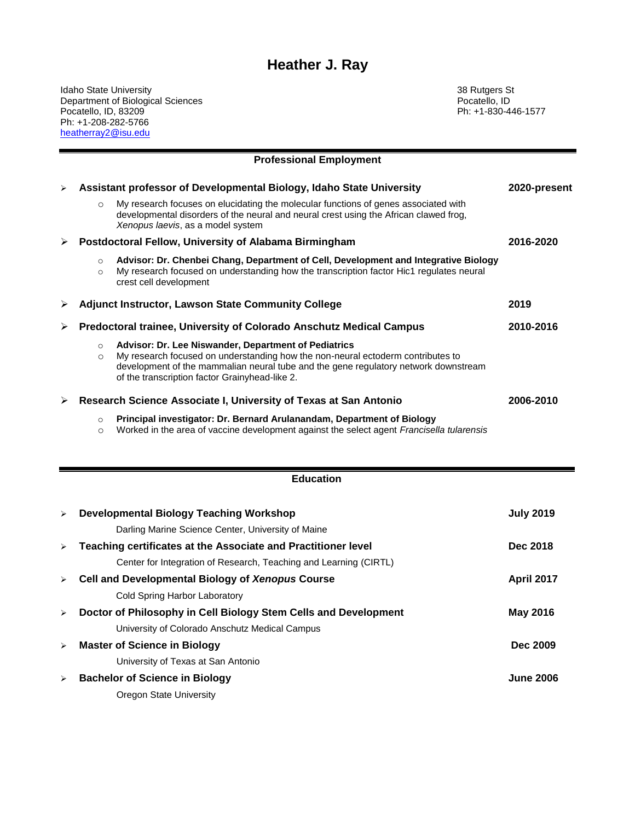# **Heather J. Ray**

Idaho State University 38 Rutgers St Department of Biological Sciences Pocatello, ID Pocatello, ID, 83209 Ph: +1-830-446-1577 Ph: +1-208-282-5766 heatherray2@isu.edu

Ξ

|                       |                    | <b>Professional Employment</b>                                                                                                                                                                                                                                                   |              |
|-----------------------|--------------------|----------------------------------------------------------------------------------------------------------------------------------------------------------------------------------------------------------------------------------------------------------------------------------|--------------|
| $\blacktriangleright$ |                    | Assistant professor of Developmental Biology, Idaho State University                                                                                                                                                                                                             | 2020-present |
|                       | $\circ$            | My research focuses on elucidating the molecular functions of genes associated with<br>developmental disorders of the neural and neural crest using the African clawed frog,<br>Xenopus laevis, as a model system                                                                |              |
| ➤                     |                    | Postdoctoral Fellow, University of Alabama Birmingham                                                                                                                                                                                                                            | 2016-2020    |
|                       | $\circ$<br>$\circ$ | Advisor: Dr. Chenbei Chang, Department of Cell, Development and Integrative Biology<br>My research focused on understanding how the transcription factor Hic1 regulates neural<br>crest cell development                                                                         |              |
| ⋗                     |                    | <b>Adjunct Instructor, Lawson State Community College</b>                                                                                                                                                                                                                        | 2019         |
|                       |                    | Predoctoral trainee, University of Colorado Anschutz Medical Campus                                                                                                                                                                                                              | 2010-2016    |
|                       | $\circ$<br>$\circ$ | Advisor: Dr. Lee Niswander, Department of Pediatrics<br>My research focused on understanding how the non-neural ectoderm contributes to<br>development of the mammalian neural tube and the gene regulatory network downstream<br>of the transcription factor Grainyhead-like 2. |              |
| ➤                     |                    | Research Science Associate I, University of Texas at San Antonio                                                                                                                                                                                                                 | 2006-2010    |
|                       | $\circ$<br>$\circ$ | Principal investigator: Dr. Bernard Arulanandam, Department of Biology<br>Worked in the area of vaccine development against the select agent Francisella tularensis                                                                                                              |              |

|                       | <b>Education</b>                                                  |                   |
|-----------------------|-------------------------------------------------------------------|-------------------|
| $\blacktriangleright$ | <b>Developmental Biology Teaching Workshop</b>                    | <b>July 2019</b>  |
|                       | Darling Marine Science Center, University of Maine                |                   |
| $\blacktriangleright$ | Teaching certificates at the Associate and Practitioner level     | Dec 2018          |
|                       | Center for Integration of Research, Teaching and Learning (CIRTL) |                   |
| $\blacktriangleright$ | Cell and Developmental Biology of Xenopus Course                  | <b>April 2017</b> |
|                       | Cold Spring Harbor Laboratory                                     |                   |
| $\blacktriangleright$ | Doctor of Philosophy in Cell Biology Stem Cells and Development   | <b>May 2016</b>   |
|                       | University of Colorado Anschutz Medical Campus                    |                   |
| $\blacktriangleright$ | <b>Master of Science in Biology</b>                               | Dec 2009          |
|                       | University of Texas at San Antonio                                |                   |
| ➤                     | <b>Bachelor of Science in Biology</b>                             | <b>June 2006</b>  |
|                       | Oregon State University                                           |                   |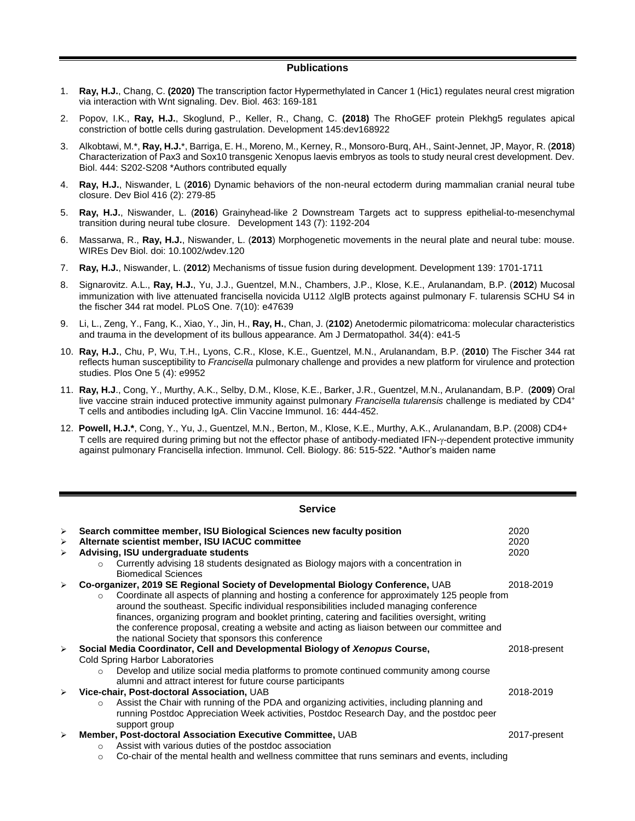### **Publications**

- 1. **Ray, H.J.**, Chang, C. **(2020)** The transcription factor Hypermethylated in Cancer 1 (Hic1) regulates neural crest migration via interaction with Wnt signaling. Dev. Biol. 463: 169-181
- 2. Popov, I.K., **Ray, H.J.**, Skoglund, P., Keller, R., Chang, C. **(2018)** The RhoGEF protein Plekhg5 regulates apical constriction of bottle cells during gastrulation. Development 145:dev168922
- 3. Alkobtawi, M.\*, **Ray, H.J.**\*, Barriga, E. H., Moreno, M., Kerney, R., Monsoro-Burq, AH., Saint-Jennet, JP, Mayor, R. (**2018**) Characterization of Pax3 and Sox10 transgenic Xenopus laevis embryos as tools to study neural crest development. Dev. Biol. 444: S202-S208 \*Authors contributed equally
- 4. **Ray, H.J.**, Niswander, L (**2016**) Dynamic behaviors of the non-neural ectoderm during mammalian cranial neural tube closure. Dev Biol 416 (2): 279-85
- 5. **Ray, H.J.**, Niswander, L. (**2016**) Grainyhead-like 2 Downstream Targets act to suppress epithelial-to-mesenchymal transition during neural tube closure. Development 143 (7): 1192-204
- 6. Massarwa, R., **Ray, H.J.**, Niswander, L. (**2013**) Morphogenetic movements in the neural plate and neural tube: mouse. WIREs Dev Biol. doi: 10.1002/wdev.120
- 7. **Ray, H.J.**, Niswander, L. (**2012**) Mechanisms of tissue fusion during development. Development 139: 1701-1711
- 8. Signarovitz. A.L., **Ray, H.J.**, Yu, J.J., Guentzel, M.N., Chambers, J.P., Klose, K.E., Arulanandam, B.P. (**2012**) Mucosal immunization with live attenuated francisella novicida U112  $\Delta$ IglB protects against pulmonary F. tularensis SCHU S4 in the fischer 344 rat model. PLoS One. 7(10): e47639
- 9. Li, L., Zeng, Y., Fang, K., Xiao, Y., Jin, H., **Ray, H.**, Chan, J. (**2102**) Anetodermic pilomatricoma: molecular characteristics and trauma in the development of its bullous appearance. Am J Dermatopathol. 34(4): e41-5
- 10. **Ray, H.J.**, Chu, P, Wu, T.H., Lyons, C.R., Klose, K.E., Guentzel, M.N., Arulanandam, B.P. (**2010**) The Fischer 344 rat reflects human susceptibility to *Francisella* pulmonary challenge and provides a new platform for virulence and protection studies. Plos One 5 (4): e9952
- 11. **Ray, H.J**., Cong, Y., Murthy, A.K., Selby, D.M., Klose, K.E., Barker, J.R., Guentzel, M.N., Arulanandam, B.P. (**2009**) Oral live vaccine strain induced protective immunity against pulmonary *Francisella tularensis* challenge is mediated by CD4<sup>+</sup> T cells and antibodies including IgA. Clin Vaccine Immunol. 16: 444-452.
- 12. **Powell, H.J.\***, Cong, Y., Yu, J., Guentzel, M.N., Berton, M., Klose, K.E., Murthy, A.K., Arulanandam, B.P. (2008) CD4+ T cells are required during priming but not the effector phase of antibody-mediated IFN- $\gamma$ -dependent protective immunity against pulmonary Francisella infection. Immunol. Cell. Biology. 86: 515-522. \*Author's maiden name

### **Service**

| $\blacktriangleright$<br>$\blacktriangleright$<br>$\blacktriangleright$ | Search committee member, ISU Biological Sciences new faculty position<br>Alternate scientist member, ISU IACUC committee<br>Advising, ISU undergraduate students<br>Currently advising 18 students designated as Biology majors with a concentration in<br>$\circ$<br><b>Biomedical Sciences</b>                                                                                                                                                                                                                                             | 2020<br>2020<br>2020 |
|-------------------------------------------------------------------------|----------------------------------------------------------------------------------------------------------------------------------------------------------------------------------------------------------------------------------------------------------------------------------------------------------------------------------------------------------------------------------------------------------------------------------------------------------------------------------------------------------------------------------------------|----------------------|
|                                                                         | Co-organizer, 2019 SE Regional Society of Developmental Biology Conference, UAB<br>Coordinate all aspects of planning and hosting a conference for approximately 125 people from<br>$\circ$<br>around the southeast. Specific individual responsibilities included managing conference<br>finances, organizing program and booklet printing, catering and facilities oversight, writing<br>the conference proposal, creating a website and acting as liaison between our committee and<br>the national Society that sponsors this conference | 2018-2019            |
| $\blacktriangleright$                                                   | Social Media Coordinator, Cell and Developmental Biology of Xenopus Course,                                                                                                                                                                                                                                                                                                                                                                                                                                                                  | 2018-present         |
|                                                                         | <b>Cold Spring Harbor Laboratories</b>                                                                                                                                                                                                                                                                                                                                                                                                                                                                                                       |                      |
|                                                                         | Develop and utilize social media platforms to promote continued community among course<br>$\Omega$<br>alumni and attract interest for future course participants                                                                                                                                                                                                                                                                                                                                                                             |                      |
|                                                                         | Vice-chair, Post-doctoral Association, UAB                                                                                                                                                                                                                                                                                                                                                                                                                                                                                                   | 2018-2019            |
|                                                                         | Assist the Chair with running of the PDA and organizing activities, including planning and<br>$\circ$<br>running Postdoc Appreciation Week activities, Postdoc Research Day, and the postdoc peer<br>support group                                                                                                                                                                                                                                                                                                                           |                      |
| $\blacktriangleright$                                                   | Member, Post-doctoral Association Executive Committee, UAB                                                                                                                                                                                                                                                                                                                                                                                                                                                                                   | 2017-present         |
|                                                                         | Assist with various duties of the postdoc association<br>$\circ$<br>Co-chair of the mental health and wellness committee that runs seminars and events, including<br>$\circ$                                                                                                                                                                                                                                                                                                                                                                 |                      |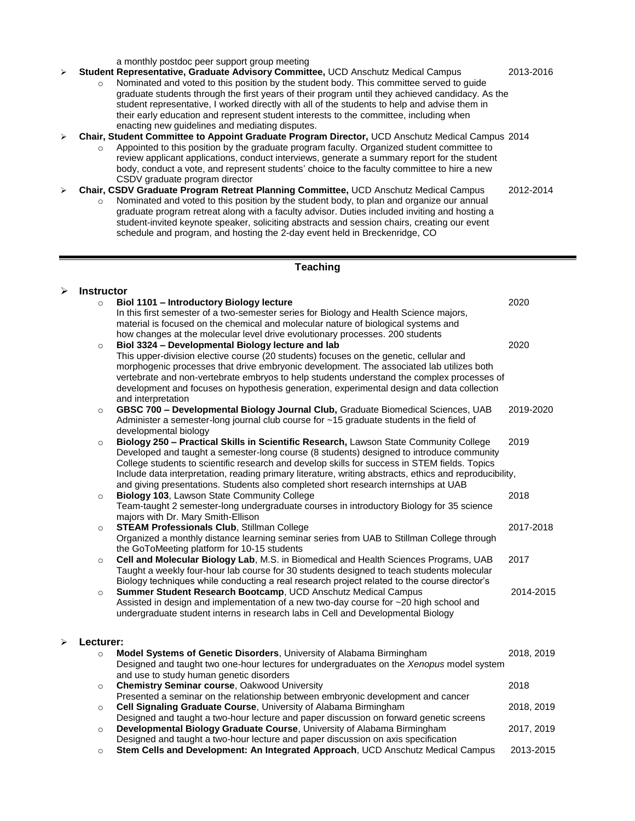a monthly postdoc peer support group meeting

- ➢ **Student Representative, Graduate Advisory Committee,** UCD Anschutz Medical Campus 2013-2016 o Nominated and voted to this position by the student body. This committee served to guide graduate students through the first years of their program until they achieved candidacy. As the student representative, I worked directly with all of the students to help and advise them in their early education and represent student interests to the committee, including when enacting new guidelines and mediating disputes.
- ➢ **Chair, Student Committee to Appoint Graduate Program Director,** UCD Anschutz Medical Campus 2014
	- o Appointed to this position by the graduate program faculty. Organized student committee to review applicant applications, conduct interviews, generate a summary report for the student body, conduct a vote, and represent students' choice to the faculty committee to hire a new CSDV graduate program director
- ➢ **Chair, CSDV Graduate Program Retreat Planning Committee,** UCD Anschutz Medical Campus 2012-2014 o Nominated and voted to this position by the student body, to plan and organize our annual graduate program retreat along with a faculty advisor. Duties included inviting and hosting a student-invited keynote speaker, soliciting abstracts and session chairs, creating our event schedule and program, and hosting the 2-day event held in Breckenridge, CO

## **Teaching**

| ⋗ | <b>Instructor</b> |                                                                                                                                                                                                                                                                                                                                                                                                                                                                                      |            |
|---|-------------------|--------------------------------------------------------------------------------------------------------------------------------------------------------------------------------------------------------------------------------------------------------------------------------------------------------------------------------------------------------------------------------------------------------------------------------------------------------------------------------------|------------|
|   | $\circ$           | Biol 1101 - Introductory Biology lecture<br>In this first semester of a two-semester series for Biology and Health Science majors,<br>material is focused on the chemical and molecular nature of biological systems and<br>how changes at the molecular level drive evolutionary processes. 200 students                                                                                                                                                                            | 2020       |
|   | $\circ$           | Biol 3324 - Developmental Biology lecture and lab<br>This upper-division elective course (20 students) focuses on the genetic, cellular and<br>morphogenic processes that drive embryonic development. The associated lab utilizes both<br>vertebrate and non-vertebrate embryos to help students understand the complex processes of<br>development and focuses on hypothesis generation, experimental design and data collection<br>and interpretation                             | 2020       |
|   | $\circ$           | GBSC 700 - Developmental Biology Journal Club, Graduate Biomedical Sciences, UAB<br>Administer a semester-long journal club course for ~15 graduate students in the field of<br>developmental biology                                                                                                                                                                                                                                                                                | 2019-2020  |
|   | $\circ$           | Biology 250 - Practical Skills in Scientific Research, Lawson State Community College<br>Developed and taught a semester-long course (8 students) designed to introduce community<br>College students to scientific research and develop skills for success in STEM fields. Topics<br>Include data interpretation, reading primary literature, writing abstracts, ethics and reproducibility,<br>and giving presentations. Students also completed short research internships at UAB | 2019       |
|   | $\circ$           | Biology 103, Lawson State Community College<br>Team-taught 2 semester-long undergraduate courses in introductory Biology for 35 science<br>majors with Dr. Mary Smith-Ellison                                                                                                                                                                                                                                                                                                        | 2018       |
|   | $\circ$           | <b>STEAM Professionals Club, Stillman College</b><br>Organized a monthly distance learning seminar series from UAB to Stillman College through<br>the GoToMeeting platform for 10-15 students                                                                                                                                                                                                                                                                                        | 2017-2018  |
|   | $\circ$           | Cell and Molecular Biology Lab, M.S. in Biomedical and Health Sciences Programs, UAB<br>Taught a weekly four-hour lab course for 30 students designed to teach students molecular<br>Biology techniques while conducting a real research project related to the course director's                                                                                                                                                                                                    | 2017       |
|   | $\circ$           | Summer Student Research Bootcamp, UCD Anschutz Medical Campus<br>Assisted in design and implementation of a new two-day course for ~20 high school and<br>undergraduate student interns in research labs in Cell and Developmental Biology                                                                                                                                                                                                                                           | 2014-2015  |
| ➤ | Lecturer:         |                                                                                                                                                                                                                                                                                                                                                                                                                                                                                      |            |
|   | $\circ$           | Model Systems of Genetic Disorders, University of Alabama Birmingham<br>Designed and taught two one-hour lectures for undergraduates on the Xenopus model system<br>and use to study human genetic disorders                                                                                                                                                                                                                                                                         | 2018, 2019 |
|   | $\circ$           | <b>Chemistry Seminar course, Oakwood University</b><br>Presented a seminar on the relationship between embryonic development and cancer                                                                                                                                                                                                                                                                                                                                              | 2018       |
|   | $\circ$           | Cell Signaling Graduate Course, University of Alabama Birmingham<br>Designed and taught a two-hour lecture and paper discussion on forward genetic screens                                                                                                                                                                                                                                                                                                                           | 2018, 2019 |
|   | $\circ$           | Developmental Biology Graduate Course, University of Alabama Birmingham<br>Designed and taught a two-hour lecture and paper discussion on axis specification                                                                                                                                                                                                                                                                                                                         | 2017, 2019 |
|   | $\circ$           | Stem Cells and Development: An Integrated Approach, UCD Anschutz Medical Campus                                                                                                                                                                                                                                                                                                                                                                                                      | 2013-2015  |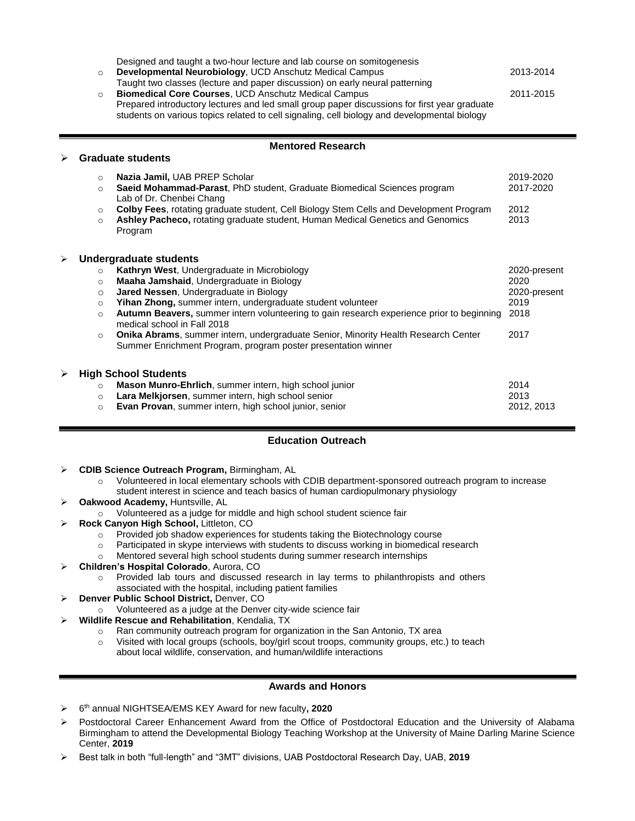|   | $\circ$<br>$\circ$ | Designed and taught a two-hour lecture and lab course on somitogenesis<br>Developmental Neurobiology, UCD Anschutz Medical Campus<br>Taught two classes (lecture and paper discussion) on early neural patterning<br>Biomedical Core Courses, UCD Anschutz Medical Campus<br>Prepared introductory lectures and led small group paper discussions for first year graduate<br>students on various topics related to cell signaling, cell biology and developmental biology | 2013-2014<br>2011-2015 |
|---|--------------------|---------------------------------------------------------------------------------------------------------------------------------------------------------------------------------------------------------------------------------------------------------------------------------------------------------------------------------------------------------------------------------------------------------------------------------------------------------------------------|------------------------|
|   |                    | <b>Mentored Research</b>                                                                                                                                                                                                                                                                                                                                                                                                                                                  |                        |
| ⋗ |                    | <b>Graduate students</b>                                                                                                                                                                                                                                                                                                                                                                                                                                                  |                        |
|   | $\circ$            | Nazia Jamil, UAB PREP Scholar                                                                                                                                                                                                                                                                                                                                                                                                                                             | 2019-2020              |
|   | $\circ$            | Saeid Mohammad-Parast, PhD student, Graduate Biomedical Sciences program<br>Lab of Dr. Chenbei Chang                                                                                                                                                                                                                                                                                                                                                                      | 2017-2020              |
|   | $\circ$<br>$\circ$ | Colby Fees, rotating graduate student, Cell Biology Stem Cells and Development Program<br>Ashley Pacheco, rotating graduate student, Human Medical Genetics and Genomics<br>Program                                                                                                                                                                                                                                                                                       | 2012<br>2013           |
|   |                    | <b>Undergraduate students</b>                                                                                                                                                                                                                                                                                                                                                                                                                                             |                        |
|   | $\circ$            | Kathryn West, Undergraduate in Microbiology                                                                                                                                                                                                                                                                                                                                                                                                                               | 2020-present           |
|   | $\circ$            | Maaha Jamshaid, Undergraduate in Biology                                                                                                                                                                                                                                                                                                                                                                                                                                  | 2020                   |
|   | $\circ$            | Jared Nessen, Undergraduate in Biology                                                                                                                                                                                                                                                                                                                                                                                                                                    | 2020-present           |
|   | $\circ$            | Yihan Zhong, summer intern, undergraduate student volunteer                                                                                                                                                                                                                                                                                                                                                                                                               | 2019                   |
|   | $\circ$            | Autumn Beavers, summer intern volunteering to gain research experience prior to beginning<br>medical school in Fall 2018                                                                                                                                                                                                                                                                                                                                                  | 2018                   |
|   | $\circ$            | Onika Abrams, summer intern, undergraduate Senior, Minority Health Research Center<br>Summer Enrichment Program, program poster presentation winner                                                                                                                                                                                                                                                                                                                       | 2017                   |
| ⋗ |                    | <b>High School Students</b>                                                                                                                                                                                                                                                                                                                                                                                                                                               |                        |
|   | $\circ$            | Mason Munro-Ehrlich, summer intern, high school junior                                                                                                                                                                                                                                                                                                                                                                                                                    | 2014                   |
|   | $\circ$            | Lara Melkjorsen, summer intern, high school senior                                                                                                                                                                                                                                                                                                                                                                                                                        | 2013                   |
|   | $\circ$            | Evan Provan, summer intern, high school junior, senior                                                                                                                                                                                                                                                                                                                                                                                                                    | 2012, 2013             |

# **Education Outreach**

- ➢ **CDIB Science Outreach Program,** Birmingham, AL
	- o Volunteered in local elementary schools with CDIB department-sponsored outreach program to increase student interest in science and teach basics of human cardiopulmonary physiology
- ➢ **Oakwood Academy,** Huntsville, AL
	- o Volunteered as a judge for middle and high school student science fair
- ➢ **Rock Canyon High School,** Littleton, CO
	- o Provided job shadow experiences for students taking the Biotechnology course
	- o Participated in skype interviews with students to discuss working in biomedical research
	- o Mentored several high school students during summer research internships
- ➢ **Children's Hospital Colorado**, Aurora, CO
	- o Provided lab tours and discussed research in lay terms to philanthropists and others associated with the hospital, including patient families
- ➢ **Denver Public School District,** Denver, CO
	- o Volunteered as a judge at the Denver city-wide science fair
- ➢ **Wildlife Rescue and Rehabilitation**, Kendalia, TX
	- o Ran community outreach program for organization in the San Antonio, TX area
	- o Visited with local groups (schools, boy/girl scout troops, community groups, etc.) to teach
		- about local wildlife, conservation, and human/wildlife interactions

## **Awards and Honors**

- ➢ 6 th annual NIGHTSEA/EMS KEY Award for new faculty**, 2020**
- ➢ Postdoctoral Career Enhancement Award from the Office of Postdoctoral Education and the University of Alabama Birmingham to attend the Developmental Biology Teaching Workshop at the University of Maine Darling Marine Science Center, **2019**
- ➢ Best talk in both "full-length" and "3MT" divisions, UAB Postdoctoral Research Day, UAB, **2019**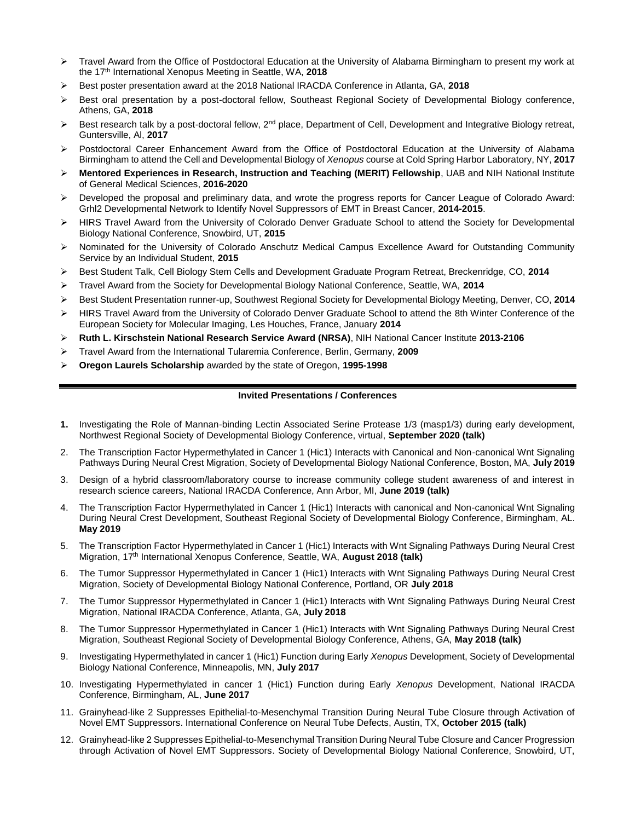- ➢ Travel Award from the Office of Postdoctoral Education at the University of Alabama Birmingham to present my work at the 17<sup>th</sup> International Xenopus Meeting in Seattle, WA, 2018
- ➢ Best poster presentation award at the 2018 National IRACDA Conference in Atlanta, GA, **2018**
- ➢ Best oral presentation by a post-doctoral fellow, Southeast Regional Society of Developmental Biology conference, Athens, GA, **2018**
- $\triangleright$  Best research talk by a post-doctoral fellow,  $2^{nd}$  place, Department of Cell, Development and Integrative Biology retreat, Guntersville, Al, **2017**
- ➢ Postdoctoral Career Enhancement Award from the Office of Postdoctoral Education at the University of Alabama Birmingham to attend the Cell and Developmental Biology of *Xenopus* course at Cold Spring Harbor Laboratory, NY, **2017**
- ➢ **Mentored Experiences in Research, Instruction and Teaching (MERIT) Fellowship**, UAB and NIH National Institute of General Medical Sciences, **2016-2020**
- ➢ Developed the proposal and preliminary data, and wrote the progress reports for Cancer League of Colorado Award: Grhl2 Developmental Network to Identify Novel Suppressors of EMT in Breast Cancer, **2014-2015**.
- ➢ HIRS Travel Award from the University of Colorado Denver Graduate School to attend the Society for Developmental Biology National Conference, Snowbird, UT, **2015**
- ➢ Nominated for the University of Colorado Anschutz Medical Campus Excellence Award for Outstanding Community Service by an Individual Student, **2015**
- ➢ Best Student Talk, Cell Biology Stem Cells and Development Graduate Program Retreat, Breckenridge, CO, **2014**
- ➢ Travel Award from the Society for Developmental Biology National Conference, Seattle, WA, **2014**
- ➢ Best Student Presentation runner-up, Southwest Regional Society for Developmental Biology Meeting, Denver, CO, **2014**
- ➢ HIRS Travel Award from the University of Colorado Denver Graduate School to attend the 8th Winter Conference of the European Society for Molecular Imaging, Les Houches, France, January **2014**
- ➢ **Ruth L. Kirschstein National Research Service Award (NRSA)**, NIH National Cancer Institute **2013-2106**
- ➢ Travel Award from the International Tularemia Conference, Berlin, Germany, **2009**
- ➢ **Oregon Laurels Scholarship** awarded by the state of Oregon, **1995-1998**

### **Invited Presentations / Conferences**

- **1.** Investigating the Role of Mannan-binding Lectin Associated Serine Protease 1/3 (masp1/3) during early development, Northwest Regional Society of Developmental Biology Conference, virtual, **September 2020 (talk)**
- 2. The Transcription Factor Hypermethylated in Cancer 1 (Hic1) Interacts with Canonical and Non-canonical Wnt Signaling Pathways During Neural Crest Migration, Society of Developmental Biology National Conference, Boston, MA, **July 2019**
- 3. Design of a hybrid classroom/laboratory course to increase community college student awareness of and interest in research science careers, National IRACDA Conference, Ann Arbor, MI, **June 2019 (talk)**
- 4. The Transcription Factor Hypermethylated in Cancer 1 (Hic1) Interacts with canonical and Non-canonical Wnt Signaling During Neural Crest Development, Southeast Regional Society of Developmental Biology Conference, Birmingham, AL. **May 2019**
- 5. The Transcription Factor Hypermethylated in Cancer 1 (Hic1) Interacts with Wnt Signaling Pathways During Neural Crest Migration, 17th International Xenopus Conference, Seattle, WA, **August 2018 (talk)**
- 6. The Tumor Suppressor Hypermethylated in Cancer 1 (Hic1) Interacts with Wnt Signaling Pathways During Neural Crest Migration, Society of Developmental Biology National Conference, Portland, OR **July 2018**
- 7. The Tumor Suppressor Hypermethylated in Cancer 1 (Hic1) Interacts with Wnt Signaling Pathways During Neural Crest Migration, National IRACDA Conference, Atlanta, GA, **July 2018**
- 8. The Tumor Suppressor Hypermethylated in Cancer 1 (Hic1) Interacts with Wnt Signaling Pathways During Neural Crest Migration, Southeast Regional Society of Developmental Biology Conference, Athens, GA, **May 2018 (talk)**
- 9. Investigating Hypermethylated in cancer 1 (Hic1) Function during Early *Xenopus* Development, Society of Developmental Biology National Conference, Minneapolis, MN, **July 2017**
- 10. Investigating Hypermethylated in cancer 1 (Hic1) Function during Early *Xenopus* Development, National IRACDA Conference, Birmingham, AL, **June 2017**
- 11. Grainyhead-like 2 Suppresses Epithelial-to-Mesenchymal Transition During Neural Tube Closure through Activation of Novel EMT Suppressors. International Conference on Neural Tube Defects, Austin, TX, **October 2015 (talk)**
- 12. Grainyhead-like 2 Suppresses Epithelial-to-Mesenchymal Transition During Neural Tube Closure and Cancer Progression through Activation of Novel EMT Suppressors. Society of Developmental Biology National Conference, Snowbird, UT,